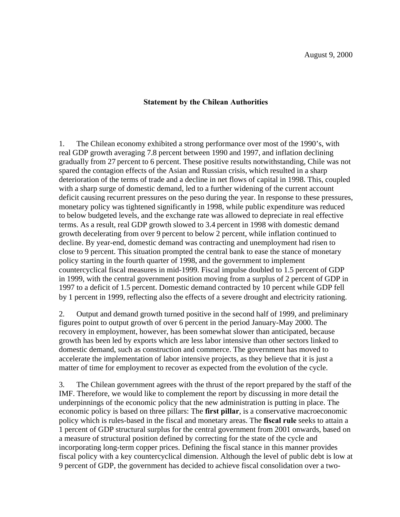## **Statement by the Chilean Authorities**

1. The Chilean economy exhibited a strong performance over most of the 1990's, with real GDP growth averaging 7.8 percent between 1990 and 1997, and inflation declining gradually from 27 percent to 6 percent. These positive results notwithstanding, Chile was not spared the contagion effects of the Asian and Russian crisis, which resulted in a sharp deterioration of the terms of trade and a decline in net flows of capital in 1998. This, coupled with a sharp surge of domestic demand, led to a further widening of the current account deficit causing recurrent pressures on the peso during the year. In response to these pressures, monetary policy was tightened significantly in 1998, while public expenditure was reduced to below budgeted levels, and the exchange rate was allowed to depreciate in real effective terms. As a result, real GDP growth slowed to 3.4 percent in 1998 with domestic demand growth decelerating from over 9 percent to below 2 percent, while inflation continued to decline. By year-end, domestic demand was contracting and unemployment had risen to close to 9 percent. This situation prompted the central bank to ease the stance of monetary policy starting in the fourth quarter of 1998, and the government to implement countercyclical fiscal measures in mid-1999. Fiscal impulse doubled to 1.5 percent of GDP in 1999, with the central government position moving from a surplus of 2 percent of GDP in 1997 to a deficit of 1.5 percent. Domestic demand contracted by 10 percent while GDP fell by 1 percent in 1999, reflecting also the effects of a severe drought and electricity rationing.

2. Output and demand growth turned positive in the second half of 1999, and preliminary figures point to output growth of over 6 percent in the period January-May 2000. The recovery in employment, however, has been somewhat slower than anticipated, because growth has been led by exports which are less labor intensive than other sectors linked to domestic demand, such as construction and commerce. The government has moved to accelerate the implementation of labor intensive projects, as they believe that it is just a matter of time for employment to recover as expected from the evolution of the cycle.

3. The Chilean government agrees with the thrust of the report prepared by the staff of the IMF. Therefore, we would like to complement the report by discussing in more detail the underpinnings of the economic policy that the new administration is putting in place. The economic policy is based on three pillars: The **first pillar**, is a conservative macroeconomic policy which is rules-based in the fiscal and monetary areas. The **fiscal rule** seeks to attain a 1 percent of GDP structural surplus for the central government from 2001 onwards, based on a measure of structural position defined by correcting for the state of the cycle and incorporating long-term copper prices. Defining the fiscal stance in this manner provides fiscal policy with a key countercyclical dimension. Although the level of public debt is low at 9 percent of GDP, the government has decided to achieve fiscal consolidation over a two-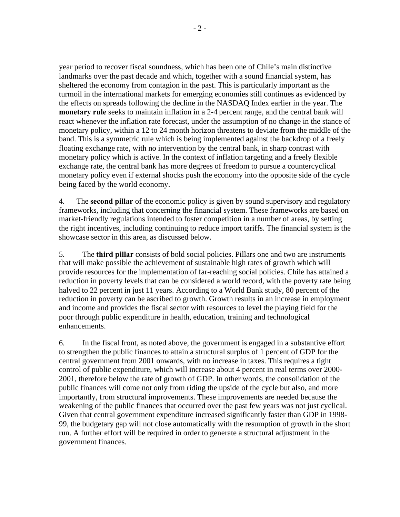year period to recover fiscal soundness, which has been one of Chile's main distinctive landmarks over the past decade and which, together with a sound financial system, has sheltered the economy from contagion in the past. This is particularly important as the turmoil in the international markets for emerging economies still continues as evidenced by the effects on spreads following the decline in the NASDAQ Index earlier in the year. The **monetary rule** seeks to maintain inflation in a 2-4 percent range, and the central bank will react whenever the inflation rate forecast, under the assumption of no change in the stance of monetary policy, within a 12 to 24 month horizon threatens to deviate from the middle of the band. This is a symmetric rule which is being implemented against the backdrop of a freely floating exchange rate, with no intervention by the central bank, in sharp contrast with monetary policy which is active. In the context of inflation targeting and a freely flexible exchange rate, the central bank has more degrees of freedom to pursue a countercyclical monetary policy even if external shocks push the economy into the opposite side of the cycle being faced by the world economy.

4. The **second pillar** of the economic policy is given by sound supervisory and regulatory frameworks, including that concerning the financial system. These frameworks are based on market-friendly regulations intended to foster competition in a number of areas, by setting the right incentives, including continuing to reduce import tariffs. The financial system is the showcase sector in this area, as discussed below.

5. The **third pillar** consists of bold social policies. Pillars one and two are instruments that will make possible the achievement of sustainable high rates of growth which will provide resources for the implementation of far-reaching social policies. Chile has attained a reduction in poverty levels that can be considered a world record, with the poverty rate being halved to 22 percent in just 11 years. According to a World Bank study, 80 percent of the reduction in poverty can be ascribed to growth. Growth results in an increase in employment and income and provides the fiscal sector with resources to level the playing field for the poor through public expenditure in health, education, training and technological enhancements.

6. In the fiscal front, as noted above, the government is engaged in a substantive effort to strengthen the public finances to attain a structural surplus of 1 percent of GDP for the central government from 2001 onwards, with no increase in taxes. This requires a tight control of public expenditure, which will increase about 4 percent in real terms over 2000- 2001, therefore below the rate of growth of GDP. In other words, the consolidation of the public finances will come not only from riding the upside of the cycle but also, and more importantly, from structural improvements. These improvements are needed because the weakening of the public finances that occurred over the past few years was not just cyclical. Given that central government expenditure increased significantly faster than GDP in 1998- 99, the budgetary gap will not close automatically with the resumption of growth in the short run. A further effort will be required in order to generate a structural adjustment in the government finances.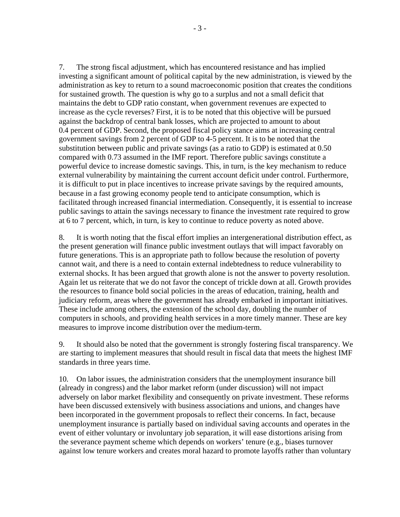7. The strong fiscal adjustment, which has encountered resistance and has implied investing a significant amount of political capital by the new administration, is viewed by the administration as key to return to a sound macroeconomic position that creates the conditions for sustained growth. The question is why go to a surplus and not a small deficit that maintains the debt to GDP ratio constant, when government revenues are expected to increase as the cycle reverses? First, it is to be noted that this objective will be pursued against the backdrop of central bank losses, which are projected to amount to about 0.4 percent of GDP. Second, the proposed fiscal policy stance aims at increasing central government savings from 2 percent of GDP to 4-5 percent. It is to be noted that the substitution between public and private savings (as a ratio to GDP) is estimated at 0.50 compared with 0.73 assumed in the IMF report. Therefore public savings constitute a powerful device to increase domestic savings. This, in turn, is the key mechanism to reduce external vulnerability by maintaining the current account deficit under control. Furthermore, it is difficult to put in place incentives to increase private savings by the required amounts, because in a fast growing economy people tend to anticipate consumption, which is facilitated through increased financial intermediation. Consequently, it is essential to increase public savings to attain the savings necessary to finance the investment rate required to grow at 6 to 7 percent, which, in turn, is key to continue to reduce poverty as noted above.

8. It is worth noting that the fiscal effort implies an intergenerational distribution effect, as the present generation will finance public investment outlays that will impact favorably on future generations. This is an appropriate path to follow because the resolution of poverty cannot wait, and there is a need to contain external indebtedness to reduce vulnerability to external shocks. It has been argued that growth alone is not the answer to poverty resolution. Again let us reiterate that we do not favor the concept of trickle down at all. Growth provides the resources to finance bold social policies in the areas of education, training, health and judiciary reform, areas where the government has already embarked in important initiatives. These include among others, the extension of the school day, doubling the number of computers in schools, and providing health services in a more timely manner. These are key measures to improve income distribution over the medium-term.

9. It should also be noted that the government is strongly fostering fiscal transparency. We are starting to implement measures that should result in fiscal data that meets the highest IMF standards in three years time.

10. On labor issues, the administration considers that the unemployment insurance bill (already in congress) and the labor market reform (under discussion) will not impact adversely on labor market flexibility and consequently on private investment. These reforms have been discussed extensively with business associations and unions, and changes have been incorporated in the government proposals to reflect their concerns. In fact, because unemployment insurance is partially based on individual saving accounts and operates in the event of either voluntary or involuntary job separation, it will ease distortions arising from the severance payment scheme which depends on workers' tenure (e.g., biases turnover against low tenure workers and creates moral hazard to promote layoffs rather than voluntary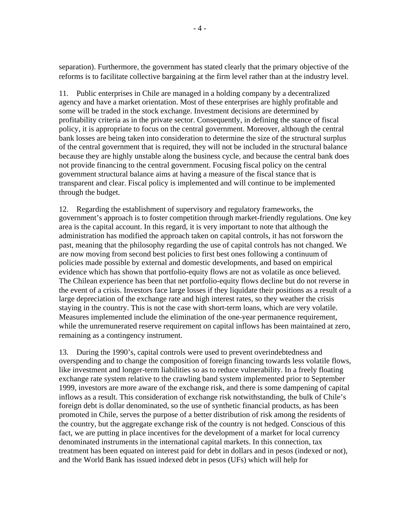separation). Furthermore, the government has stated clearly that the primary objective of the reforms is to facilitate collective bargaining at the firm level rather than at the industry level.

11. Public enterprises in Chile are managed in a holding company by a decentralized agency and have a market orientation. Most of these enterprises are highly profitable and some will be traded in the stock exchange. Investment decisions are determined by profitability criteria as in the private sector. Consequently, in defining the stance of fiscal policy, it is appropriate to focus on the central government. Moreover, although the central bank losses are being taken into consideration to determine the size of the structural surplus of the central government that is required, they will not be included in the structural balance because they are highly unstable along the business cycle, and because the central bank does not provide financing to the central government. Focusing fiscal policy on the central government structural balance aims at having a measure of the fiscal stance that is transparent and clear. Fiscal policy is implemented and will continue to be implemented through the budget.

12. Regarding the establishment of supervisory and regulatory frameworks, the government's approach is to foster competition through market-friendly regulations. One key area is the capital account. In this regard, it is very important to note that although the administration has modified the approach taken on capital controls, it has not forsworn the past, meaning that the philosophy regarding the use of capital controls has not changed. We are now moving from second best policies to first best ones following a continuum of policies made possible by external and domestic developments, and based on empirical evidence which has shown that portfolio-equity flows are not as volatile as once believed. The Chilean experience has been that net portfolio-equity flows decline but do not reverse in the event of a crisis. Investors face large losses if they liquidate their positions as a result of a large depreciation of the exchange rate and high interest rates, so they weather the crisis staying in the country. This is not the case with short-term loans, which are very volatile. Measures implemented include the elimination of the one-year permanence requirement, while the unremunerated reserve requirement on capital inflows has been maintained at zero, remaining as a contingency instrument.

13. During the 1990's, capital controls were used to prevent overindebtedness and overspending and to change the composition of foreign financing towards less volatile flows, like investment and longer-term liabilities so as to reduce vulnerability. In a freely floating exchange rate system relative to the crawling band system implemented prior to September 1999, investors are more aware of the exchange risk, and there is some dampening of capital inflows as a result. This consideration of exchange risk notwithstanding, the bulk of Chile's foreign debt is dollar denominated, so the use of synthetic financial products, as has been promoted in Chile, serves the purpose of a better distribution of risk among the residents of the country, but the aggregate exchange risk of the country is not hedged. Conscious of this fact, we are putting in place incentives for the development of a market for local currency denominated instruments in the international capital markets. In this connection, tax treatment has been equated on interest paid for debt in dollars and in pesos (indexed or not), and the World Bank has issued indexed debt in pesos (UFs) which will help for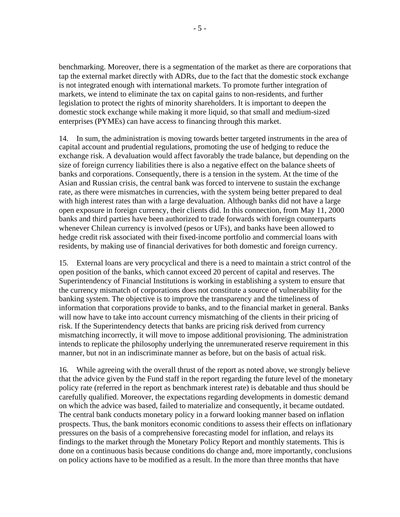benchmarking. Moreover, there is a segmentation of the market as there are corporations that tap the external market directly with ADRs, due to the fact that the domestic stock exchange is not integrated enough with international markets. To promote further integration of markets, we intend to eliminate the tax on capital gains to non-residents, and further legislation to protect the rights of minority shareholders. It is important to deepen the domestic stock exchange while making it more liquid, so that small and medium-sized enterprises (PYMEs) can have access to financing through this market.

14. In sum, the administration is moving towards better targeted instruments in the area of capital account and prudential regulations, promoting the use of hedging to reduce the exchange risk. A devaluation would affect favorably the trade balance, but depending on the size of foreign currency liabilities there is also a negative effect on the balance sheets of banks and corporations. Consequently, there is a tension in the system. At the time of the Asian and Russian crisis, the central bank was forced to intervene to sustain the exchange rate, as there were mismatches in currencies, with the system being better prepared to deal with high interest rates than with a large devaluation. Although banks did not have a large open exposure in foreign currency, their clients did. In this connection, from May 11, 2000 banks and third parties have been authorized to trade forwards with foreign counterparts whenever Chilean currency is involved (pesos or UFs), and banks have been allowed to hedge credit risk associated with their fixed-income portfolio and commercial loans with residents, by making use of financial derivatives for both domestic and foreign currency.

15. External loans are very procyclical and there is a need to maintain a strict control of the open position of the banks, which cannot exceed 20 percent of capital and reserves. The Superintendency of Financial Institutions is working in establishing a system to ensure that the currency mismatch of corporations does not constitute a source of vulnerability for the banking system. The objective is to improve the transparency and the timeliness of information that corporations provide to banks, and to the financial market in general. Banks will now have to take into account currency mismatching of the clients in their pricing of risk. If the Superintendency detects that banks are pricing risk derived from currency mismatching incorrectly, it will move to impose additional provisioning. The administration intends to replicate the philosophy underlying the unremunerated reserve requirement in this manner, but not in an indiscriminate manner as before, but on the basis of actual risk.

16. While agreeing with the overall thrust of the report as noted above, we strongly believe that the advice given by the Fund staff in the report regarding the future level of the monetary policy rate (referred in the report as benchmark interest rate) is debatable and thus should be carefully qualified. Moreover, the expectations regarding developments in domestic demand on which the advice was based, failed to materialize and consequently, it became outdated. The central bank conducts monetary policy in a forward looking manner based on inflation prospects. Thus, the bank monitors economic conditions to assess their effects on inflationary pressures on the basis of a comprehensive forecasting model for inflation, and relays its findings to the market through the Monetary Policy Report and monthly statements. This is done on a continuous basis because conditions do change and, more importantly, conclusions on policy actions have to be modified as a result. In the more than three months that have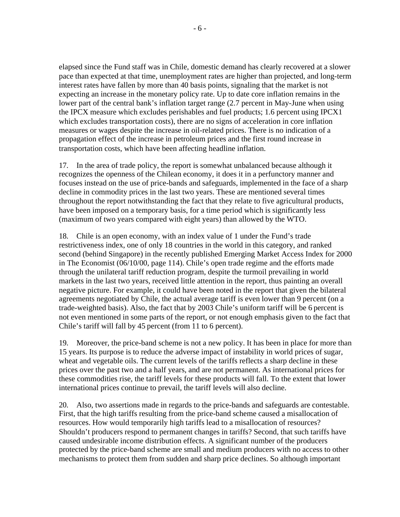elapsed since the Fund staff was in Chile, domestic demand has clearly recovered at a slower pace than expected at that time, unemployment rates are higher than projected, and long-term interest rates have fallen by more than 40 basis points, signaling that the market is not expecting an increase in the monetary policy rate. Up to date core inflation remains in the lower part of the central bank's inflation target range (2.7 percent in May-June when using the IPCX measure which excludes perishables and fuel products; 1.6 percent using IPCX1 which excludes transportation costs), there are no signs of acceleration in core inflation measures or wages despite the increase in oil-related prices. There is no indication of a propagation effect of the increase in petroleum prices and the first round increase in transportation costs, which have been affecting headline inflation.

17. In the area of trade policy, the report is somewhat unbalanced because although it recognizes the openness of the Chilean economy, it does it in a perfunctory manner and focuses instead on the use of price-bands and safeguards, implemented in the face of a sharp decline in commodity prices in the last two years. These are mentioned several times throughout the report notwithstanding the fact that they relate to five agricultural products, have been imposed on a temporary basis, for a time period which is significantly less (maximum of two years compared with eight years) than allowed by the WTO.

18. Chile is an open economy, with an index value of 1 under the Fund's trade restrictiveness index, one of only 18 countries in the world in this category, and ranked second (behind Singapore) in the recently published Emerging Market Access Index for 2000 in The Economist (06/10/00, page 114). Chile's open trade regime and the efforts made through the unilateral tariff reduction program, despite the turmoil prevailing in world markets in the last two years, received little attention in the report, thus painting an overall negative picture. For example, it could have been noted in the report that given the bilateral agreements negotiated by Chile, the actual average tariff is even lower than 9 percent (on a trade-weighted basis). Also, the fact that by 2003 Chile's uniform tariff will be 6 percent is not even mentioned in some parts of the report, or not enough emphasis given to the fact that Chile's tariff will fall by 45 percent (from 11 to 6 percent).

19. Moreover, the price-band scheme is not a new policy. It has been in place for more than 15 years. Its purpose is to reduce the adverse impact of instability in world prices of sugar, wheat and vegetable oils. The current levels of the tariffs reflects a sharp decline in these prices over the past two and a half years, and are not permanent. As international prices for these commodities rise, the tariff levels for these products will fall. To the extent that lower international prices continue to prevail, the tariff levels will also decline.

20. Also, two assertions made in regards to the price-bands and safeguards are contestable. First, that the high tariffs resulting from the price-band scheme caused a misallocation of resources. How would temporarily high tariffs lead to a misallocation of resources? Shouldn't producers respond to permanent changes in tariffs? Second, that such tariffs have caused undesirable income distribution effects. A significant number of the producers protected by the price-band scheme are small and medium producers with no access to other mechanisms to protect them from sudden and sharp price declines. So although important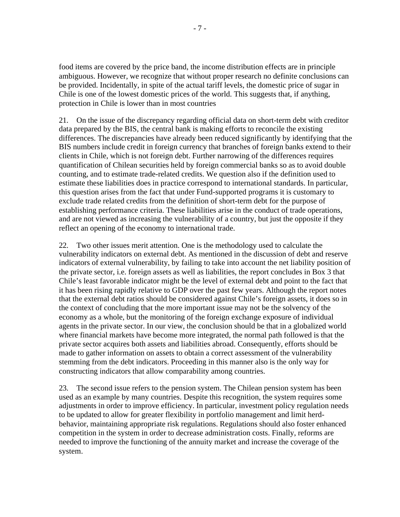food items are covered by the price band, the income distribution effects are in principle ambiguous. However, we recognize that without proper research no definite conclusions can be provided. Incidentally, in spite of the actual tariff levels, the domestic price of sugar in Chile is one of the lowest domestic prices of the world. This suggests that, if anything, protection in Chile is lower than in most countries

21. On the issue of the discrepancy regarding official data on short-term debt with creditor data prepared by the BIS, the central bank is making efforts to reconcile the existing differences. The discrepancies have already been reduced significantly by identifying that the BIS numbers include credit in foreign currency that branches of foreign banks extend to their clients in Chile, which is not foreign debt. Further narrowing of the differences requires quantification of Chilean securities held by foreign commercial banks so as to avoid double counting, and to estimate trade-related credits. We question also if the definition used to estimate these liabilities does in practice correspond to international standards. In particular, this question arises from the fact that under Fund-supported programs it is customary to exclude trade related credits from the definition of short-term debt for the purpose of establishing performance criteria. These liabilities arise in the conduct of trade operations, and are not viewed as increasing the vulnerability of a country, but just the opposite if they reflect an opening of the economy to international trade.

22. Two other issues merit attention. One is the methodology used to calculate the vulnerability indicators on external debt. As mentioned in the discussion of debt and reserve indicators of external vulnerability, by failing to take into account the net liability position of the private sector, i.e. foreign assets as well as liabilities, the report concludes in Box 3 that Chile's least favorable indicator might be the level of external debt and point to the fact that it has been rising rapidly relative to GDP over the past few years. Although the report notes that the external debt ratios should be considered against Chile's foreign assets, it does so in the context of concluding that the more important issue may not be the solvency of the economy as a whole, but the monitoring of the foreign exchange exposure of individual agents in the private sector. In our view, the conclusion should be that in a globalized world where financial markets have become more integrated, the normal path followed is that the private sector acquires both assets and liabilities abroad. Consequently, efforts should be made to gather information on assets to obtain a correct assessment of the vulnerability stemming from the debt indicators. Proceeding in this manner also is the only way for constructing indicators that allow comparability among countries.

23. The second issue refers to the pension system. The Chilean pension system has been used as an example by many countries. Despite this recognition, the system requires some adjustments in order to improve efficiency. In particular, investment policy regulation needs to be updated to allow for greater flexibility in portfolio management and limit herdbehavior, maintaining appropriate risk regulations. Regulations should also foster enhanced competition in the system in order to decrease administration costs. Finally, reforms are needed to improve the functioning of the annuity market and increase the coverage of the system.